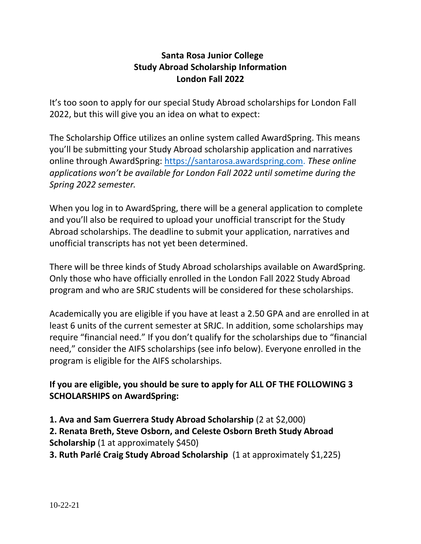## **Santa Rosa Junior College Study Abroad Scholarship Information London Fall 2022**

It's too soon to apply for our special Study Abroad scholarships for London Fall 2022, but this will give you an idea on what to expect:

The Scholarship Office utilizes an online system called AwardSpring. This means you'll be submitting your Study Abroad scholarship application and narratives online through AwardSpring: [https://santarosa.awardspring.com.](https://santarosa.awardspring.com/) *These online applications won't be available for London Fall 2022 until sometime during the Spring 2022 semester.* 

When you log in to AwardSpring, there will be a general application to complete and you'll also be required to upload your unofficial transcript for the Study Abroad scholarships. The deadline to submit your application, narratives and unofficial transcripts has not yet been determined.

There will be three kinds of Study Abroad scholarships available on AwardSpring. Only those who have officially enrolled in the London Fall 2022 Study Abroad program and who are SRJC students will be considered for these scholarships.

Academically you are eligible if you have at least a 2.50 GPA and are enrolled in at least 6 units of the current semester at SRJC. In addition, some scholarships may require "financial need." If you don't qualify for the scholarships due to "financial need," consider the AIFS scholarships (see info below). Everyone enrolled in the program is eligible for the AIFS scholarships.

**If you are eligible, you should be sure to apply for ALL OF THE FOLLOWING 3 SCHOLARSHIPS on AwardSpring:**

**1. Ava and Sam Guerrera Study Abroad Scholarship** (2 at \$2,000) **2. Renata Breth, Steve Osborn, and Celeste Osborn Breth Study Abroad Scholarship** (1 at approximately \$450)

**3. Ruth Parlé Craig Study Abroad Scholarship** (1 at approximately \$1,225)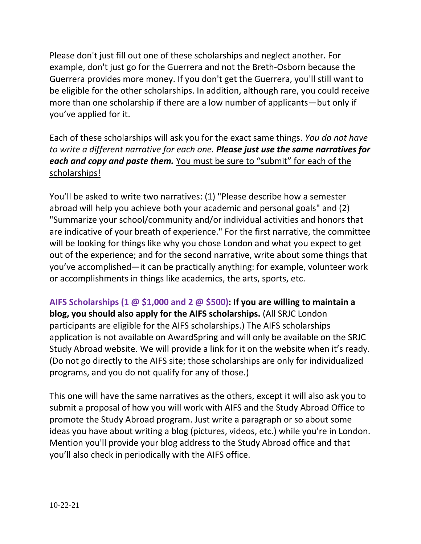Please don't just fill out one of these scholarships and neglect another. For example, don't just go for the Guerrera and not the Breth-Osborn because the Guerrera provides more money. If you don't get the Guerrera, you'll still want to be eligible for the other scholarships. In addition, although rare, you could receive more than one scholarship if there are a low number of applicants—but only if you've applied for it.

Each of these scholarships will ask you for the exact same things. *You do not have to write a different narrative for each one. Please just use the same narratives for each and copy and paste them.* You must be sure to "submit" for each of the scholarships!

You'll be asked to write two narratives: (1) "Please describe how a semester abroad will help you achieve both your academic and personal goals" and (2) "Summarize your school/community and/or individual activities and honors that are indicative of your breath of experience." For the first narrative, the committee will be looking for things like why you chose London and what you expect to get out of the experience; and for the second narrative, write about some things that you've accomplished—it can be practically anything: for example, volunteer work or accomplishments in things like academics, the arts, sports, etc.

**AIFS Scholarships (1 @ \$1,000 and 2 @ \$500): If you are willing to maintain a blog, you should also apply for the AIFS scholarships.** (All SRJC London participants are eligible for the AIFS scholarships.) The AIFS scholarships application is not available on AwardSpring and will only be available on the SRJC Study Abroad website. We will provide a link for it on the website when it's ready. (Do not go directly to the AIFS site; those scholarships are only for individualized programs, and you do not qualify for any of those.)

This one will have the same narratives as the others, except it will also ask you to submit a proposal of how you will work with AIFS and the Study Abroad Office to promote the Study Abroad program. Just write a paragraph or so about some ideas you have about writing a blog (pictures, videos, etc.) while you're in London. Mention you'll provide your blog address to the Study Abroad office and that you'll also check in periodically with the AIFS office.